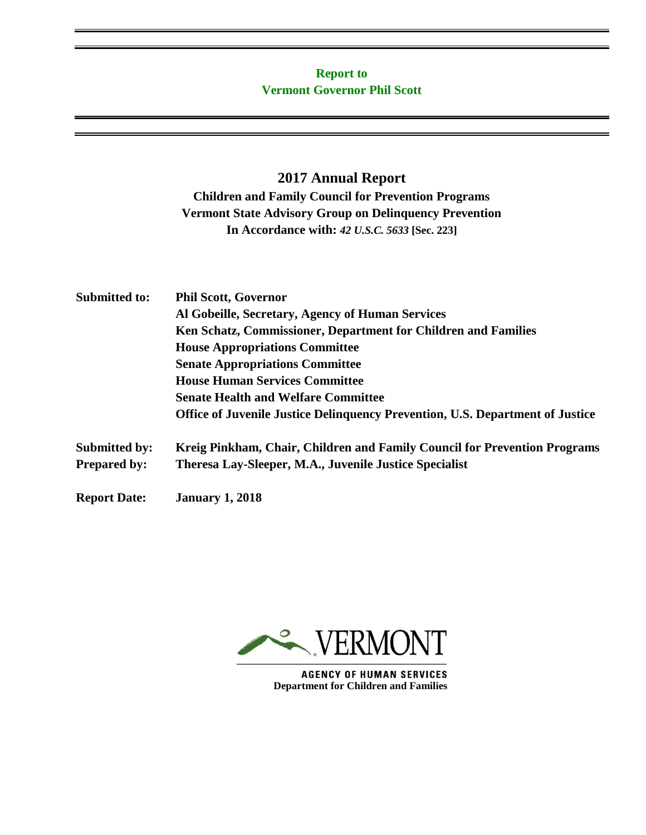# **Report to Vermont Governor Phil Scott**

# **2017 Annual Report**

## **Children and Family Council for Prevention Programs Vermont State Advisory Group on Delinquency Prevention In Accordance with:** *42 U.S.C. 5633* **[Sec. 223]**

| <b>Submitted to:</b> | <b>Phil Scott, Governor</b>                                                          |  |  |
|----------------------|--------------------------------------------------------------------------------------|--|--|
|                      | Al Gobeille, Secretary, Agency of Human Services                                     |  |  |
|                      | Ken Schatz, Commissioner, Department for Children and Families                       |  |  |
|                      | <b>House Appropriations Committee</b>                                                |  |  |
|                      | <b>Senate Appropriations Committee</b>                                               |  |  |
|                      | <b>House Human Services Committee</b>                                                |  |  |
|                      | <b>Senate Health and Welfare Committee</b>                                           |  |  |
|                      | <b>Office of Juvenile Justice Delinguency Prevention, U.S. Department of Justice</b> |  |  |
| <b>Submitted by:</b> | Kreig Pinkham, Chair, Children and Family Council for Prevention Programs            |  |  |
| <b>Prepared by:</b>  | Theresa Lay-Sleeper, M.A., Juvenile Justice Specialist                               |  |  |
| <b>Report Date:</b>  | <b>January 1, 2018</b>                                                               |  |  |



**AGENCY OF HUMAN SERVICES Department for Children and Families**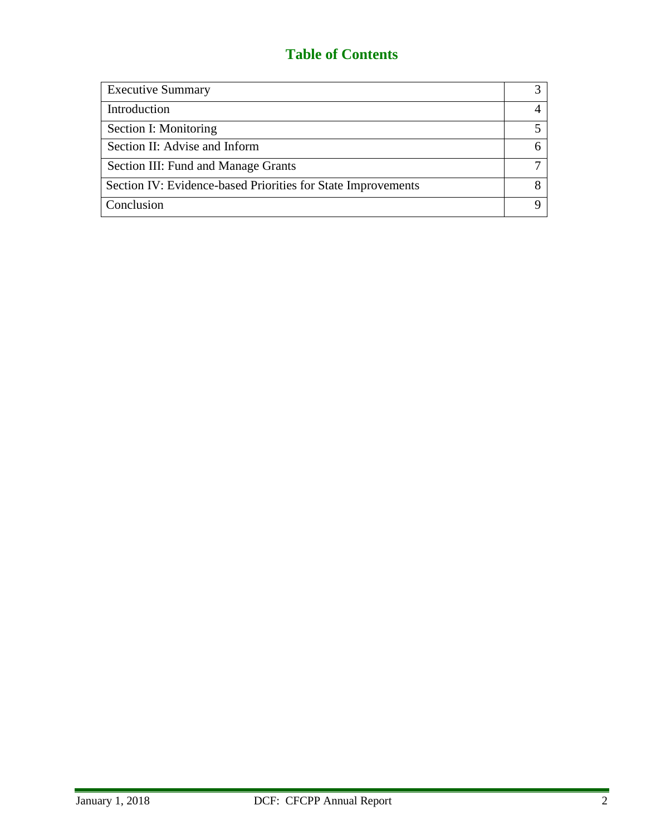# **Table of Contents**

| <b>Executive Summary</b>                                     |  |
|--------------------------------------------------------------|--|
| Introduction                                                 |  |
| Section I: Monitoring                                        |  |
| Section II: Advise and Inform                                |  |
| Section III: Fund and Manage Grants                          |  |
| Section IV: Evidence-based Priorities for State Improvements |  |
| Conclusion                                                   |  |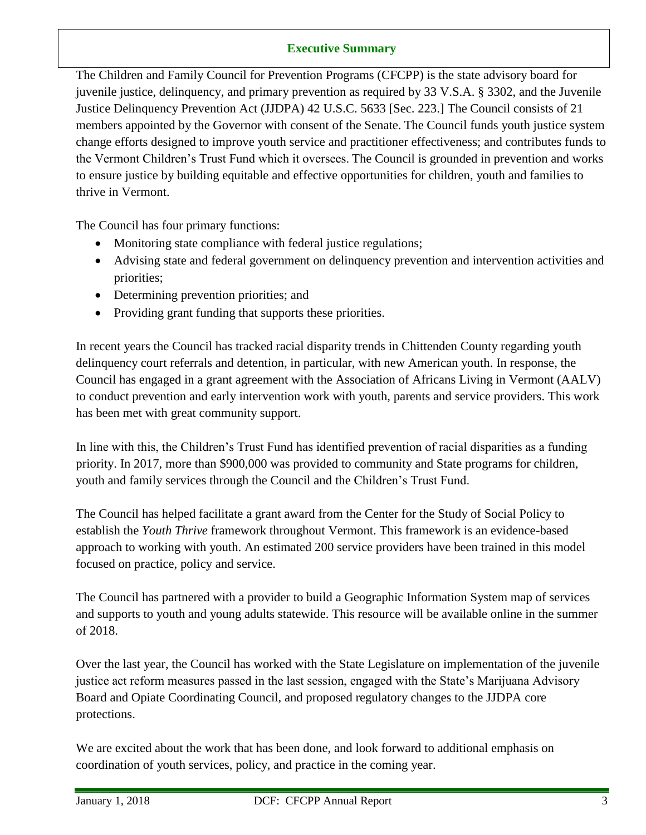## **Executive Summary**

The Children and Family Council for Prevention Programs (CFCPP) is the state advisory board for juvenile justice, delinquency, and primary prevention as required by 33 V.S.A. § 3302, and the Juvenile Justice Delinquency Prevention Act (JJDPA) 42 U.S.C. 5633 [Sec. 223.] The Council consists of 21 members appointed by the Governor with consent of the Senate. The Council funds youth justice system change efforts designed to improve youth service and practitioner effectiveness; and contributes funds to the Vermont Children's Trust Fund which it oversees. The Council is grounded in prevention and works to ensure justice by building equitable and effective opportunities for children, youth and families to thrive in Vermont.

The Council has four primary functions:

- Monitoring state compliance with federal justice regulations;
- Advising state and federal government on delinquency prevention and intervention activities and priorities;
- Determining prevention priorities; and
- Providing grant funding that supports these priorities.

In recent years the Council has tracked racial disparity trends in Chittenden County regarding youth delinquency court referrals and detention, in particular, with new American youth. In response, the Council has engaged in a grant agreement with the Association of Africans Living in Vermont (AALV) to conduct prevention and early intervention work with youth, parents and service providers. This work has been met with great community support.

In line with this, the Children's Trust Fund has identified prevention of racial disparities as a funding priority. In 2017, more than \$900,000 was provided to community and State programs for children, youth and family services through the Council and the Children's Trust Fund.

The Council has helped facilitate a grant award from the Center for the Study of Social Policy to establish the *Youth Thrive* framework throughout Vermont. This framework is an evidence-based approach to working with youth. An estimated 200 service providers have been trained in this model focused on practice, policy and service.

The Council has partnered with a provider to build a Geographic Information System map of services and supports to youth and young adults statewide. This resource will be available online in the summer of 2018.

Over the last year, the Council has worked with the State Legislature on implementation of the juvenile justice act reform measures passed in the last session, engaged with the State's Marijuana Advisory Board and Opiate Coordinating Council, and proposed regulatory changes to the JJDPA core protections.

We are excited about the work that has been done, and look forward to additional emphasis on coordination of youth services, policy, and practice in the coming year.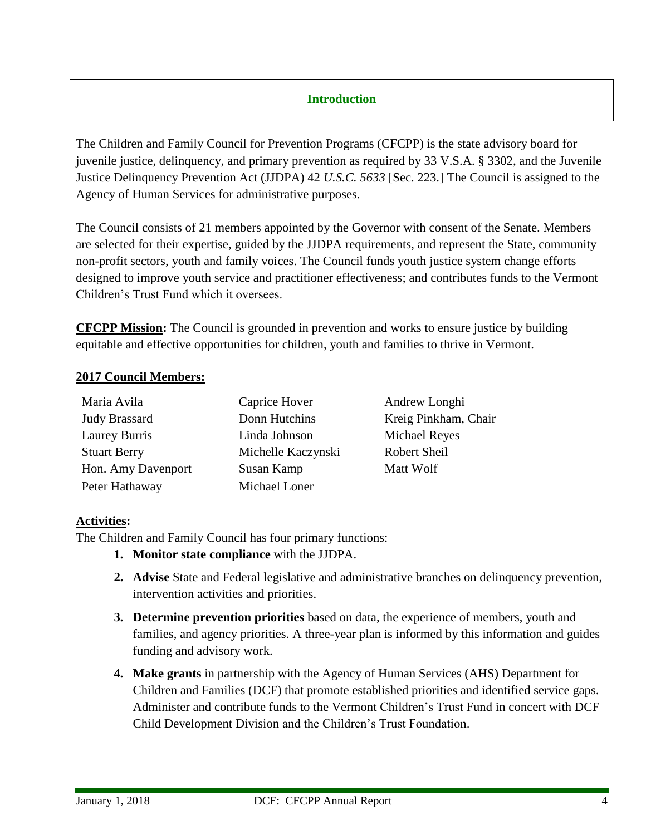## **Introduction**

The Children and Family Council for Prevention Programs (CFCPP) is the state advisory board for juvenile justice, delinquency, and primary prevention as required by 33 V.S.A. § 3302, and the Juvenile Justice Delinquency Prevention Act (JJDPA) 42 *U.S.C. 5633* [Sec. 223.] The Council is assigned to the Agency of Human Services for administrative purposes.

The Council consists of 21 members appointed by the Governor with consent of the Senate. Members are selected for their expertise, guided by the JJDPA requirements, and represent the State, community non-profit sectors, youth and family voices. The Council funds youth justice system change efforts designed to improve youth service and practitioner effectiveness; and contributes funds to the Vermont Children's Trust Fund which it oversees.

**CFCPP Mission:** The Council is grounded in prevention and works to ensure justice by building equitable and effective opportunities for children, youth and families to thrive in Vermont.

#### **2017 Council Members:**

| Maria Avila          | Caprice Hover      | Andrew Longhi        |
|----------------------|--------------------|----------------------|
| <b>Judy Brassard</b> | Donn Hutchins      | Kreig Pinkham, Chair |
| Laurey Burris        | Linda Johnson      | <b>Michael Reyes</b> |
| <b>Stuart Berry</b>  | Michelle Kaczynski | Robert Sheil         |
| Hon. Amy Davenport   | Susan Kamp         | Matt Wolf            |
| Peter Hathaway       | Michael Loner      |                      |

#### **Activities:**

The Children and Family Council has four primary functions:

- **1. Monitor state compliance** with the JJDPA.
- **2. Advise** State and Federal legislative and administrative branches on delinquency prevention, intervention activities and priorities.
- **3. Determine prevention priorities** based on data, the experience of members, youth and families, and agency priorities. A three-year plan is informed by this information and guides funding and advisory work.
- **4. Make grants** in partnership with the Agency of Human Services (AHS) Department for Children and Families (DCF) that promote established priorities and identified service gaps. Administer and contribute funds to the Vermont Children's Trust Fund in concert with DCF Child Development Division and the Children's Trust Foundation.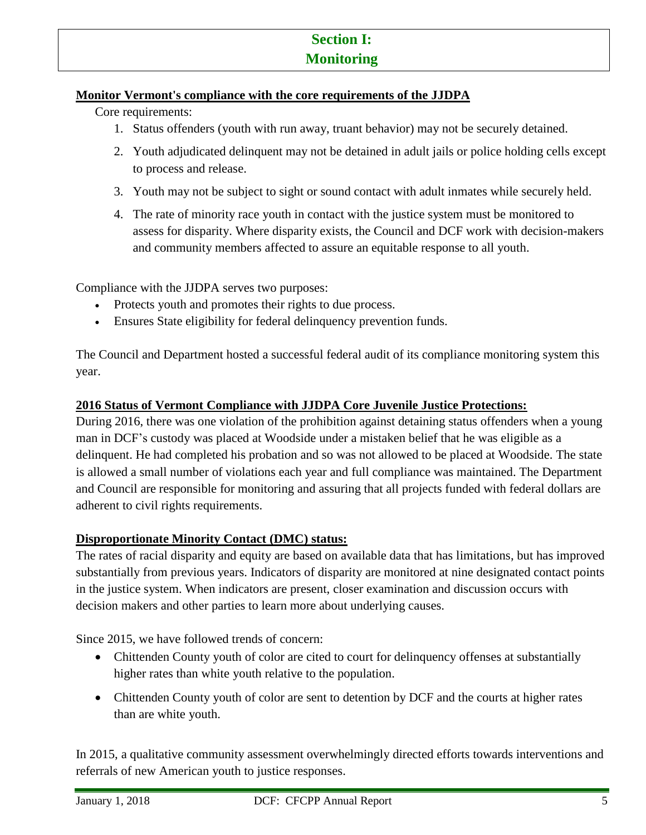# **Section I: Monitoring**

### **Monitor Vermont's compliance with the core requirements of the JJDPA**

Core requirements:

- 1. Status offenders (youth with run away, truant behavior) may not be securely detained.
- 2. Youth adjudicated delinquent may not be detained in adult jails or police holding cells except to process and release.
- 3. Youth may not be subject to sight or sound contact with adult inmates while securely held.
- 4. The rate of minority race youth in contact with the justice system must be monitored to assess for disparity. Where disparity exists, the Council and DCF work with decision-makers and community members affected to assure an equitable response to all youth.

Compliance with the JJDPA serves two purposes:

- Protects youth and promotes their rights to due process.
- Ensures State eligibility for federal delinquency prevention funds.

The Council and Department hosted a successful federal audit of its compliance monitoring system this year.

#### **2016 Status of Vermont Compliance with JJDPA Core Juvenile Justice Protections:**

During 2016, there was one violation of the prohibition against detaining status offenders when a young man in DCF's custody was placed at Woodside under a mistaken belief that he was eligible as a delinquent. He had completed his probation and so was not allowed to be placed at Woodside. The state is allowed a small number of violations each year and full compliance was maintained. The Department and Council are responsible for monitoring and assuring that all projects funded with federal dollars are adherent to civil rights requirements.

## **Disproportionate Minority Contact (DMC) status:**

The rates of racial disparity and equity are based on available data that has limitations, but has improved substantially from previous years. Indicators of disparity are monitored at nine designated contact points in the justice system. When indicators are present, closer examination and discussion occurs with decision makers and other parties to learn more about underlying causes.

Since 2015, we have followed trends of concern:

- Chittenden County youth of color are cited to court for delinquency offenses at substantially higher rates than white youth relative to the population.
- Chittenden County youth of color are sent to detention by DCF and the courts at higher rates than are white youth.

In 2015, a qualitative community assessment overwhelmingly directed efforts towards interventions and referrals of new American youth to justice responses.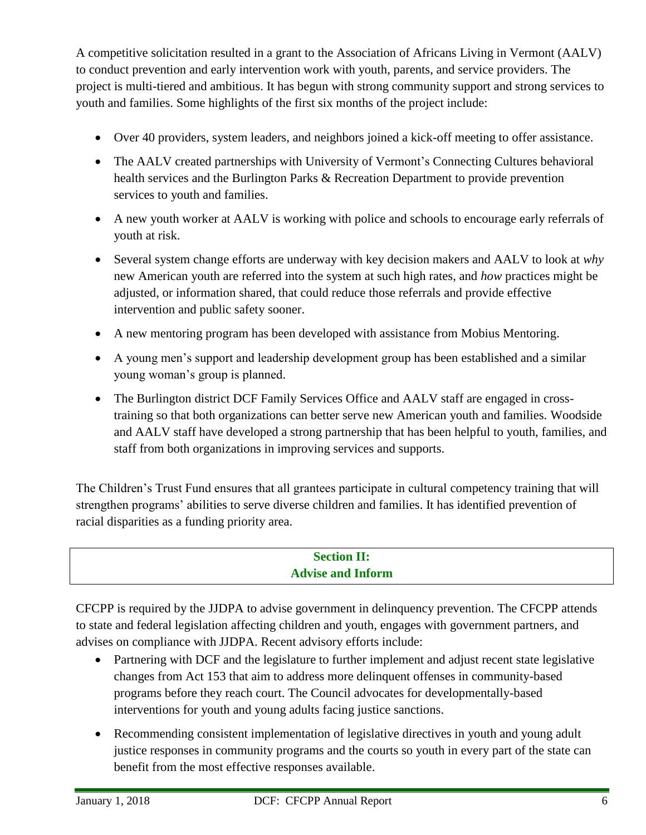A competitive solicitation resulted in a grant to the Association of Africans Living in Vermont (AALV) to conduct prevention and early intervention work with youth, parents, and service providers. The project is multi-tiered and ambitious. It has begun with strong community support and strong services to youth and families. Some highlights of the first six months of the project include:

- Over 40 providers, system leaders, and neighbors joined a kick-off meeting to offer assistance.
- The AALV created partnerships with University of Vermont's Connecting Cultures behavioral health services and the Burlington Parks & Recreation Department to provide prevention services to youth and families.
- A new youth worker at AALV is working with police and schools to encourage early referrals of youth at risk.
- Several system change efforts are underway with key decision makers and AALV to look at *why* new American youth are referred into the system at such high rates, and *how* practices might be adjusted, or information shared, that could reduce those referrals and provide effective intervention and public safety sooner.
- A new mentoring program has been developed with assistance from Mobius Mentoring.
- A young men's support and leadership development group has been established and a similar young woman's group is planned.
- The Burlington district DCF Family Services Office and AALV staff are engaged in crosstraining so that both organizations can better serve new American youth and families. Woodside and AALV staff have developed a strong partnership that has been helpful to youth, families, and staff from both organizations in improving services and supports.

The Children's Trust Fund ensures that all grantees participate in cultural competency training that will strengthen programs' abilities to serve diverse children and families. It has identified prevention of racial disparities as a funding priority area.

# **Section II: Advise and Inform**

CFCPP is required by the JJDPA to advise government in delinquency prevention. The CFCPP attends to state and federal legislation affecting children and youth, engages with government partners, and advises on compliance with JJDPA. Recent advisory efforts include:

- Partnering with DCF and the legislature to further implement and adjust recent state legislative changes from Act 153 that aim to address more delinquent offenses in community-based programs before they reach court. The Council advocates for developmentally-based interventions for youth and young adults facing justice sanctions.
- Recommending consistent implementation of legislative directives in youth and young adult justice responses in community programs and the courts so youth in every part of the state can benefit from the most effective responses available.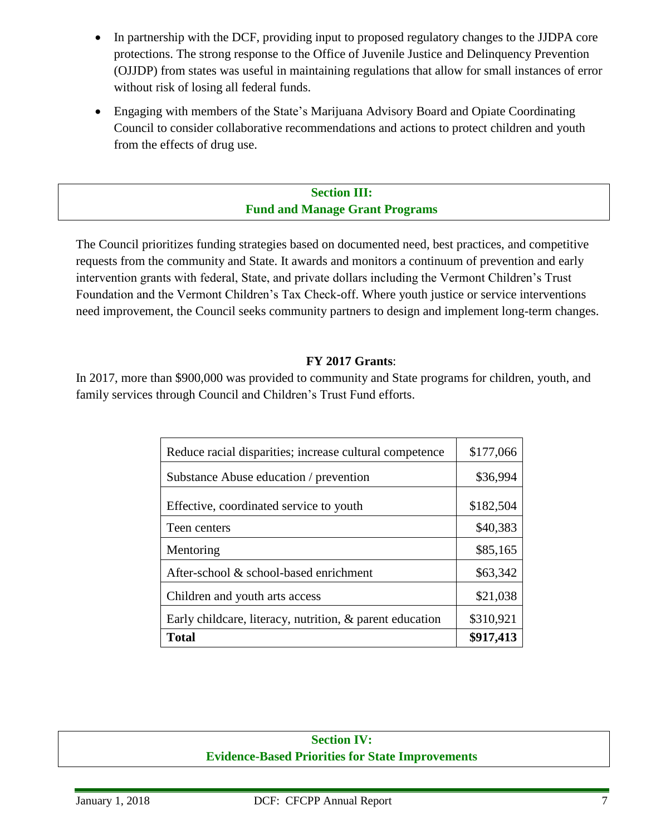- In partnership with the DCF, providing input to proposed regulatory changes to the JJDPA core protections. The strong response to the Office of Juvenile Justice and Delinquency Prevention (OJJDP) from states was useful in maintaining regulations that allow for small instances of error without risk of losing all federal funds.
- Engaging with members of the State's Marijuana Advisory Board and Opiate Coordinating Council to consider collaborative recommendations and actions to protect children and youth from the effects of drug use.

## **Section III: Fund and Manage Grant Programs**

The Council prioritizes funding strategies based on documented need, best practices, and competitive requests from the community and State. It awards and monitors a continuum of prevention and early intervention grants with federal, State, and private dollars including the Vermont Children's Trust Foundation and the Vermont Children's Tax Check-off. Where youth justice or service interventions need improvement, the Council seeks community partners to design and implement long-term changes.

#### **FY 2017 Grants**:

In 2017, more than \$900,000 was provided to community and State programs for children, youth, and family services through Council and Children's Trust Fund efforts.

| Reduce racial disparities; increase cultural competence  | \$177,066 |
|----------------------------------------------------------|-----------|
| Substance Abuse education / prevention                   | \$36,994  |
| Effective, coordinated service to youth                  | \$182,504 |
| Teen centers                                             | \$40,383  |
| Mentoring                                                | \$85,165  |
| After-school & school-based enrichment                   | \$63,342  |
| Children and youth arts access                           | \$21,038  |
| Early childcare, literacy, nutrition, & parent education | \$310,921 |
| <b>Total</b>                                             | \$917,413 |

# **Section IV: Evidence-Based Priorities for State Improvements**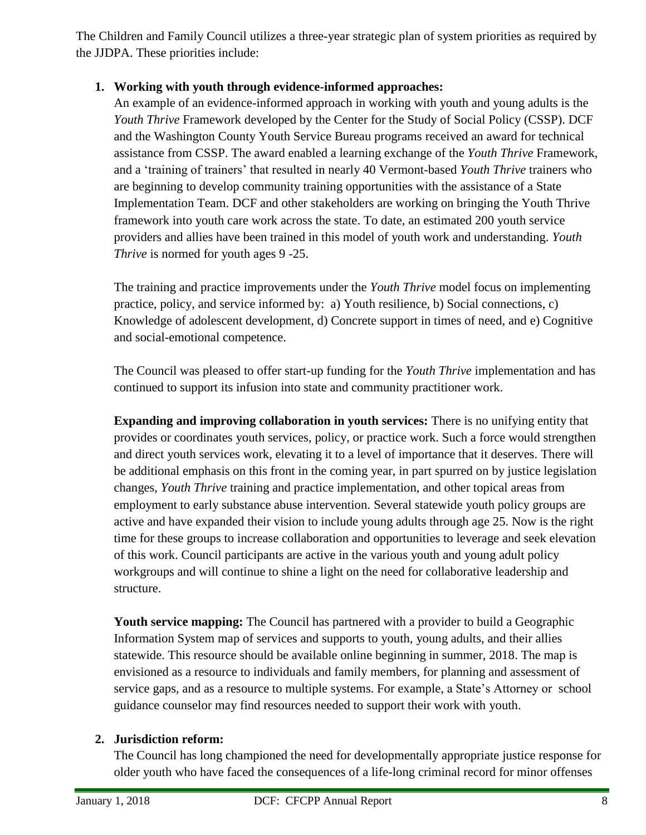The Children and Family Council utilizes a three-year strategic plan of system priorities as required by the JJDPA. These priorities include:

# **1. Working with youth through evidence-informed approaches:**

An example of an evidence-informed approach in working with youth and young adults is the *Youth Thrive* Framework developed by the Center for the Study of Social Policy (CSSP). DCF and the Washington County Youth Service Bureau programs received an award for technical assistance from CSSP. The award enabled a learning exchange of the *Youth Thrive* Framework, and a 'training of trainers' that resulted in nearly 40 Vermont-based *Youth Thrive* trainers who are beginning to develop community training opportunities with the assistance of a State Implementation Team. DCF and other stakeholders are working on bringing the Youth Thrive framework into youth care work across the state. To date, an estimated 200 youth service providers and allies have been trained in this model of youth work and understanding. *Youth Thrive* is normed for youth ages 9 -25.

The training and practice improvements under the *Youth Thrive* model focus on implementing practice, policy, and service informed by: a) Youth resilience, b) Social connections, c) Knowledge of adolescent development, d) Concrete support in times of need, and e) Cognitive and social-emotional competence.

The Council was pleased to offer start-up funding for the *Youth Thrive* implementation and has continued to support its infusion into state and community practitioner work.

**Expanding and improving collaboration in youth services:** There is no unifying entity that provides or coordinates youth services, policy, or practice work. Such a force would strengthen and direct youth services work, elevating it to a level of importance that it deserves. There will be additional emphasis on this front in the coming year, in part spurred on by justice legislation changes, *Youth Thrive* training and practice implementation, and other topical areas from employment to early substance abuse intervention. Several statewide youth policy groups are active and have expanded their vision to include young adults through age 25. Now is the right time for these groups to increase collaboration and opportunities to leverage and seek elevation of this work. Council participants are active in the various youth and young adult policy workgroups and will continue to shine a light on the need for collaborative leadership and structure.

**Youth service mapping:** The Council has partnered with a provider to build a Geographic Information System map of services and supports to youth, young adults, and their allies statewide. This resource should be available online beginning in summer, 2018. The map is envisioned as a resource to individuals and family members, for planning and assessment of service gaps, and as a resource to multiple systems. For example, a State's Attorney or school guidance counselor may find resources needed to support their work with youth.

## **2. Jurisdiction reform:**

The Council has long championed the need for developmentally appropriate justice response for older youth who have faced the consequences of a life-long criminal record for minor offenses